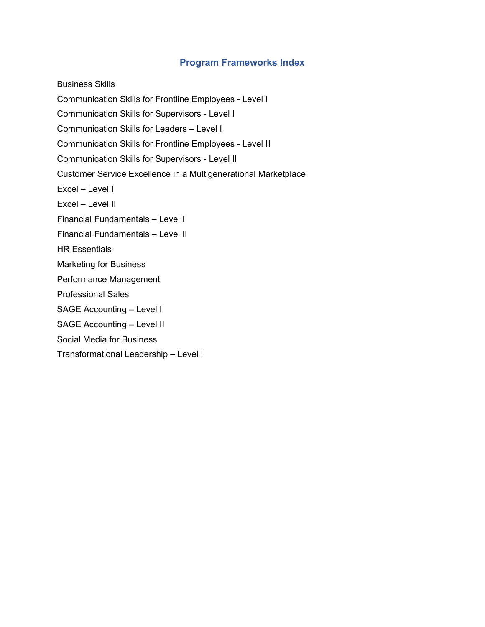## Program Frameworks Index

Business Skills Communication Skills for Frontline Employees - Level I Communication Skills for Supervisors - Level I Communication Skills for Leaders – Level I Communication Skills for Frontline Employees - Level II Communication Skills for Supervisors - Level II Customer Service Excellence in a Multigenerational Marketplace Excel – Level I Excel – Level II Financial Fundamentals – Level I Financial Fundamentals – Level II HR Essentials Marketing for Business Performance Management Professional Sales SAGE Accounting – Level I SAGE Accounting – Level II Social Media for Business Transformational Leadership – Level I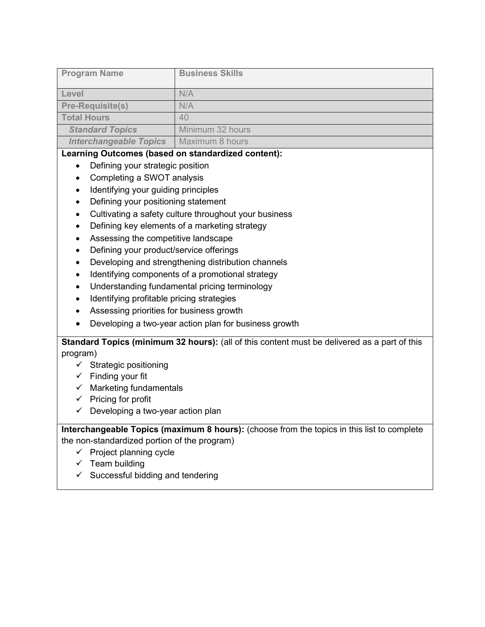|                               | <b>Business Skills</b> |
|-------------------------------|------------------------|
| <b>Program Name</b>           |                        |
|                               |                        |
|                               |                        |
|                               |                        |
| Level                         | N/A                    |
|                               |                        |
| <b>Pre-Requisite(s)</b>       | N/A                    |
|                               |                        |
| <b>Total Hours</b>            | 40                     |
|                               |                        |
|                               | Minimum 32 hours       |
| <b>Standard Topics</b>        |                        |
|                               |                        |
| <b>Interchangeable Topics</b> | Maximum 8 hours        |
|                               |                        |

- Defining your strategic position
- Completing a SWOT analysis
- Identifying your guiding principles
- Defining your positioning statement
- Cultivating a safety culture throughout your business
- Defining key elements of a marketing strategy
- Assessing the competitive landscape
- Defining your product/service offerings
- Developing and strengthening distribution channels
- Identifying components of a promotional strategy
- Understanding fundamental pricing terminology
- Identifying profitable pricing strategies
- Assessing priorities for business growth
- Developing a two-year action plan for business growth

Standard Topics (minimum 32 hours): (all of this content must be delivered as a part of this program)

- $\checkmark$  Strategic positioning
- $\checkmark$  Finding your fit
- $\checkmark$  Marketing fundamentals
- $\checkmark$  Pricing for profit
- $\checkmark$  Developing a two-year action plan

- $\checkmark$  Project planning cycle
- $\checkmark$  Team building
- $\checkmark$  Successful bidding and tendering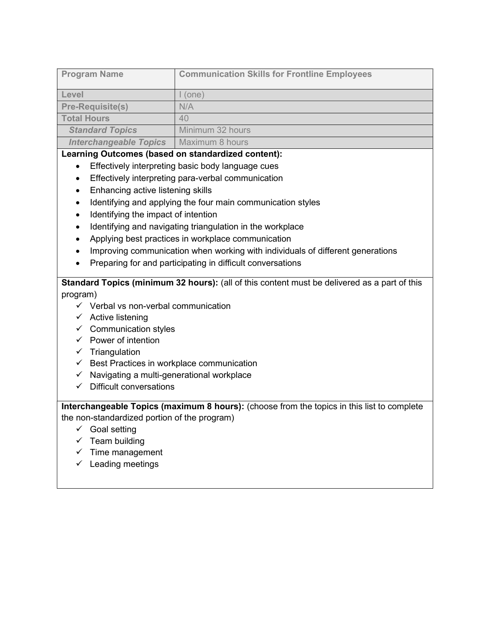| <b>Program Name</b>           | <b>Communication Skills for Frontline Employees</b> |
|-------------------------------|-----------------------------------------------------|
| Level                         | (one)                                               |
| <b>Pre-Requisite(s)</b>       | N/A                                                 |
| <b>Total Hours</b>            | 40                                                  |
| <b>Standard Topics</b>        | Minimum 32 hours                                    |
| <b>Interchangeable Topics</b> | Maximum 8 hours                                     |

- **Effectively interpreting basic body language cues**
- **Effectively interpreting para-verbal communication**
- Enhancing active listening skills
- Identifying and applying the four main communication styles
- $\bullet$  Identifying the impact of intention
- Identifying and navigating triangulation in the workplace
- Applying best practices in workplace communication
- Improving communication when working with individuals of different generations
- Preparing for and participating in difficult conversations

Standard Topics (minimum 32 hours): (all of this content must be delivered as a part of this program)

- $\checkmark$  Verbal vs non-verbal communication
- $\checkmark$  Active listening
- $\checkmark$  Communication styles
- $\checkmark$  Power of intention
- $\checkmark$  Triangulation
- $\checkmark$  Best Practices in workplace communication
- $\checkmark$  Navigating a multi-generational workplace
- $\checkmark$  Difficult conversations

- $\checkmark$  Goal setting
- $\checkmark$  Team building
- $\checkmark$  Time management
- $\checkmark$  Leading meetings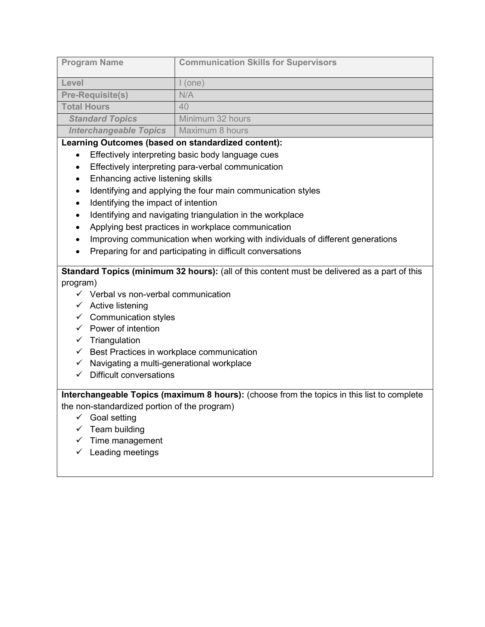| <b>Program Name</b>           | <b>Communication Skills for Supervisors</b> |
|-------------------------------|---------------------------------------------|
| Level                         | (one)                                       |
| <b>Pre-Requisite(s)</b>       | N/A                                         |
| <b>Total Hours</b>            | 40                                          |
| <b>Standard Topics</b>        | Minimum 32 hours                            |
| <b>Interchangeable Topics</b> | Maximum 8 hours                             |

- **Effectively interpreting basic body language cues**
- Effectively interpreting para-verbal communication
- Enhancing active listening skills
- Identifying and applying the four main communication styles
- Identifying the impact of intention
- Identifying and navigating triangulation in the workplace
- Applying best practices in workplace communication
- Improving communication when working with individuals of different generations
- Preparing for and participating in difficult conversations

Standard Topics (minimum 32 hours): (all of this content must be delivered as a part of this program)

- $\checkmark$  Verbal vs non-verbal communication
- $\checkmark$  Active listening
- $\checkmark$  Communication styles
- $\checkmark$  Power of intention
- $\checkmark$  Triangulation
- $\checkmark$  Best Practices in workplace communication
- $\checkmark$  Navigating a multi-generational workplace
- $\checkmark$  Difficult conversations

- $\checkmark$  Goal setting
- $\checkmark$  Team building
- $\checkmark$  Time management
- $\checkmark$  Leading meetings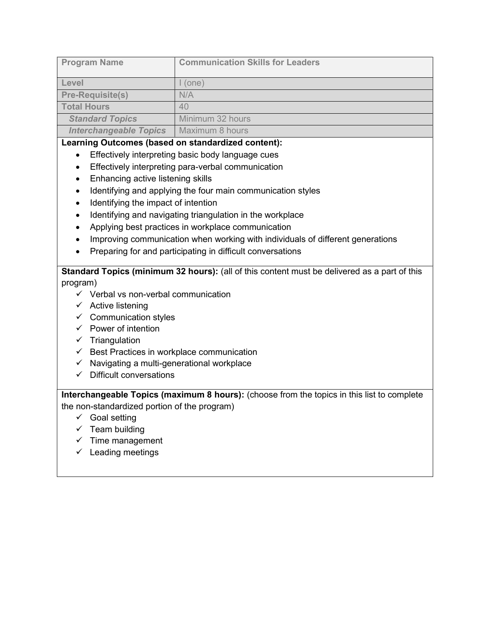| <b>Program Name</b>           | <b>Communication Skills for Leaders</b> |
|-------------------------------|-----------------------------------------|
| Level                         | (one)                                   |
| <b>Pre-Requisite(s)</b>       | N/A                                     |
| <b>Total Hours</b>            | 40                                      |
| <b>Standard Topics</b>        | Minimum 32 hours                        |
| <b>Interchangeable Topics</b> | Maximum 8 hours                         |

- **Effectively interpreting basic body language cues**
- Effectively interpreting para-verbal communication
- Enhancing active listening skills
- Identifying and applying the four main communication styles
- Identifying the impact of intention
- Identifying and navigating triangulation in the workplace
- Applying best practices in workplace communication
- Improving communication when working with individuals of different generations
- Preparing for and participating in difficult conversations

# Standard Topics (minimum 32 hours): (all of this content must be delivered as a part of this program)

- $\checkmark$  Verbal vs non-verbal communication
- $\checkmark$  Active listening
- $\checkmark$  Communication styles
- $\checkmark$  Power of intention
- $\checkmark$  Triangulation
- $\checkmark$  Best Practices in workplace communication
- $\checkmark$  Navigating a multi-generational workplace
- $\checkmark$  Difficult conversations

- $\checkmark$  Goal setting
- $\checkmark$  Team building
- $\checkmark$  Time management
- $\checkmark$  Leading meetings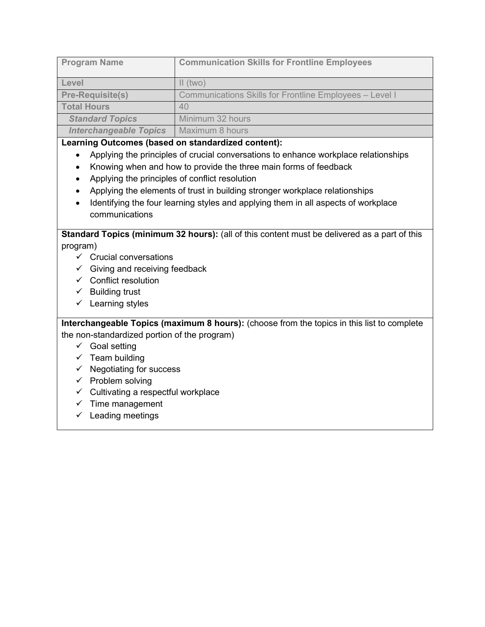| <b>Program Name</b>           | <b>Communication Skills for Frontline Employees</b>            |
|-------------------------------|----------------------------------------------------------------|
| Level                         | $\parallel$ (two)                                              |
| <b>Pre-Requisite(s)</b>       | <b>Communications Skills for Frontline Employees - Level I</b> |
| <b>Total Hours</b>            | 40                                                             |
| <b>Standard Topics</b>        | Minimum 32 hours                                               |
| <b>Interchangeable Topics</b> | Maximum 8 hours                                                |

- Applying the principles of crucial conversations to enhance workplace relationships
- Knowing when and how to provide the three main forms of feedback
- Applying the principles of conflict resolution
- Applying the elements of trust in building stronger workplace relationships
- Identifying the four learning styles and applying them in all aspects of workplace communications

Standard Topics (minimum 32 hours): (all of this content must be delivered as a part of this program)

- $\checkmark$  Crucial conversations
- $\checkmark$  Giving and receiving feedback
- $\checkmark$  Conflict resolution
- $\checkmark$  Building trust
- $\checkmark$  Learning styles

- $\checkmark$  Goal setting
- $\checkmark$  Team building
- $\checkmark$  Negotiating for success
- $\checkmark$  Problem solving
- $\checkmark$  Cultivating a respectful workplace
- $\checkmark$  Time management
- $\checkmark$  Leading meetings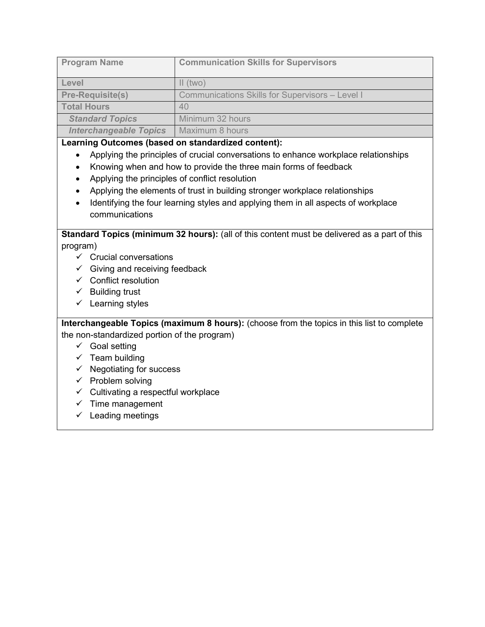| <b>Program Name</b>           | <b>Communication Skills for Supervisors</b>            |
|-------------------------------|--------------------------------------------------------|
| Level                         | $\parallel$ (two)                                      |
| <b>Pre-Requisite(s)</b>       | <b>Communications Skills for Supervisors - Level I</b> |
| <b>Total Hours</b>            | 40                                                     |
| <b>Standard Topics</b>        | Minimum 32 hours                                       |
| <b>Interchangeable Topics</b> | Maximum 8 hours                                        |

- Applying the principles of crucial conversations to enhance workplace relationships
- Knowing when and how to provide the three main forms of feedback
- Applying the principles of conflict resolution
- Applying the elements of trust in building stronger workplace relationships
- Identifying the four learning styles and applying them in all aspects of workplace communications

Standard Topics (minimum 32 hours): (all of this content must be delivered as a part of this program)

- $\checkmark$  Crucial conversations
- $\checkmark$  Giving and receiving feedback
- $\checkmark$  Conflict resolution
- $\checkmark$  Building trust
- $\checkmark$  Learning styles

- $\checkmark$  Goal setting
- $\checkmark$  Team building
- $\checkmark$  Negotiating for success
- $\checkmark$  Problem solving
- $\checkmark$  Cultivating a respectful workplace
- $\checkmark$  Time management
- $\checkmark$  Leading meetings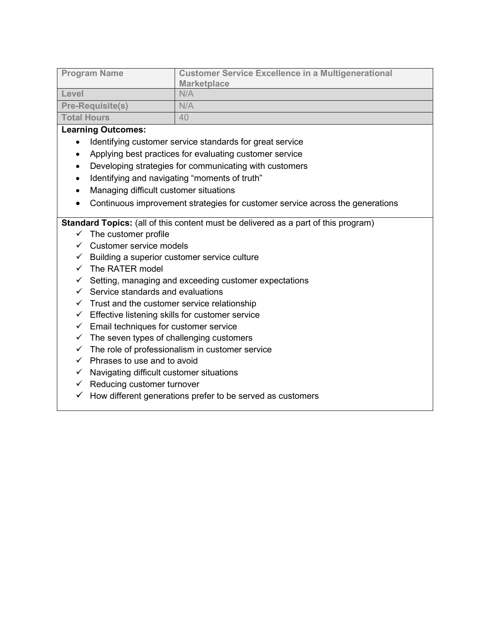| <b>Program Name</b>     | <b>Customer Service Excellence in a Multigenerational</b><br><b>Marketplace</b> |
|-------------------------|---------------------------------------------------------------------------------|
| Level                   | N/A                                                                             |
| <b>Pre-Requisite(s)</b> | N/A                                                                             |
| <b>Total Hours</b>      | 40                                                                              |

- Identifying customer service standards for great service
- Applying best practices for evaluating customer service
- Developing strategies for communicating with customers
- Identifying and navigating "moments of truth"
- Managing difficult customer situations
- Continuous improvement strategies for customer service across the generations

- $\checkmark$  The customer profile
- $\checkmark$  Customer service models
- $\checkmark$  Building a superior customer service culture
- $\checkmark$  The RATER model
- $\checkmark$  Setting, managing and exceeding customer expectations
- $\checkmark$  Service standards and evaluations
- $\checkmark$  Trust and the customer service relationship
- $\checkmark$  Effective listening skills for customer service
- $\checkmark$  Email techniques for customer service
- $\checkmark$  The seven types of challenging customers
- $\checkmark$  The role of professionalism in customer service
- $\checkmark$  Phrases to use and to avoid
- $\checkmark$  Navigating difficult customer situations
- $\checkmark$  Reducing customer turnover
- $\checkmark$  How different generations prefer to be served as customers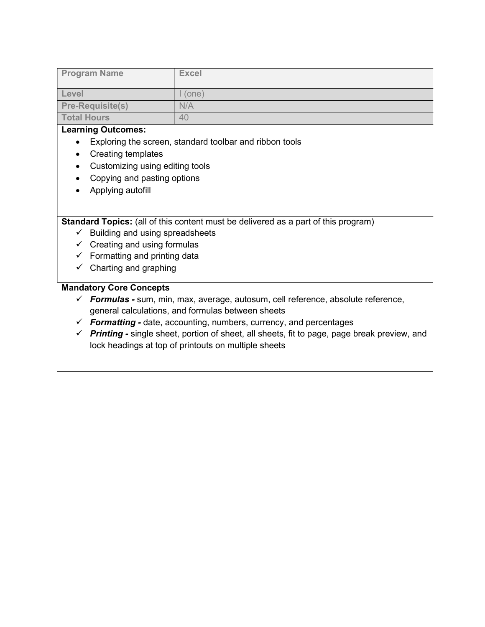| <b>Program Name</b>     | <b>Excel</b> |
|-------------------------|--------------|
| Level                   | rone)        |
| <b>Pre-Requisite(s)</b> | N/A          |
| <b>Total Hours</b>      | 40           |

- Exploring the screen, standard toolbar and ribbon tools
- Creating templates
- Customizing using editing tools
- Copying and pasting options
- Applying autofill

Standard Topics: (all of this content must be delivered as a part of this program)

- $\checkmark$  Building and using spreadsheets
- $\checkmark$  Creating and using formulas
- $\checkmark$  Formatting and printing data
- $\checkmark$  Charting and graphing

## Mandatory Core Concepts

- $\checkmark$  Formulas sum, min, max, average, autosum, cell reference, absolute reference, general calculations, and formulas between sheets
- $\checkmark$  Formatting date, accounting, numbers, currency, and percentages
- $\checkmark$  Printing single sheet, portion of sheet, all sheets, fit to page, page break preview, and lock headings at top of printouts on multiple sheets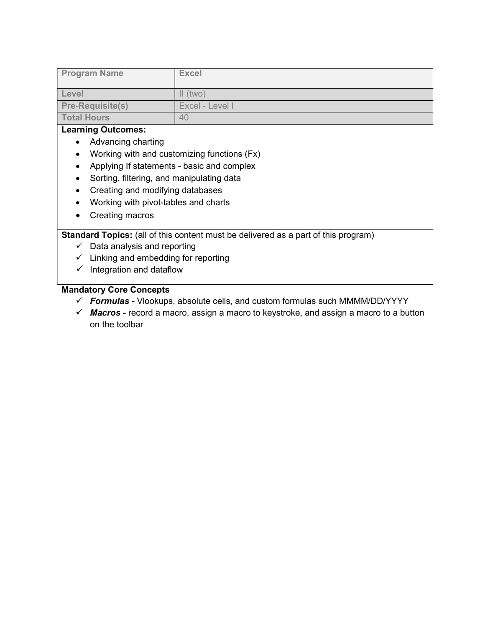| <b>Program Name</b>     | <b>Excel</b>    |
|-------------------------|-----------------|
| Level                   | $II$ (two)      |
| <b>Pre-Requisite(s)</b> | Excel - Level I |
| <b>Total Hours</b>      | 40              |

- Advancing charting
- Working with and customizing functions (Fx)
- Applying If statements basic and complex
- Sorting, filtering, and manipulating data
- Creating and modifying databases
- Working with pivot-tables and charts
- Creating macros

Standard Topics: (all of this content must be delivered as a part of this program)

- $\checkmark$  Data analysis and reporting
- $\checkmark$  Linking and embedding for reporting
- $\checkmark$  Integration and dataflow

## Mandatory Core Concepts

- $\checkmark$  Formulas Vlookups, absolute cells, and custom formulas such MMMM/DD/YYYY
- $\checkmark$  Macros record a macro, assign a macro to keystroke, and assign a macro to a button on the toolbar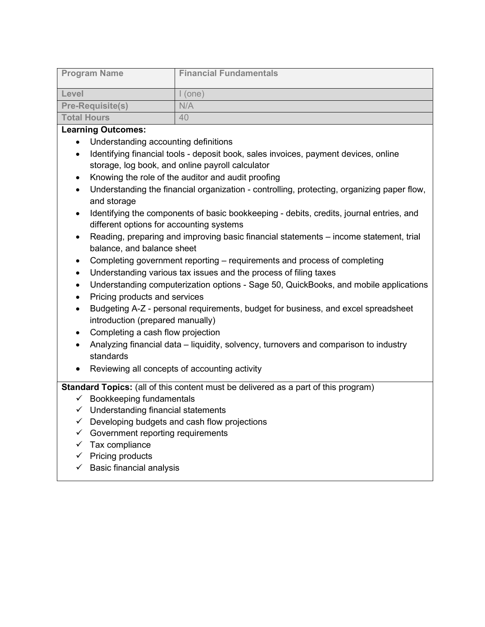| <b>Program Name</b>     | <b>Financial Fundamentals</b> |
|-------------------------|-------------------------------|
| Level                   | (one)                         |
| <b>Pre-Requisite(s)</b> | N/A                           |
| <b>Total Hours</b>      | 40                            |

- Understanding accounting definitions
- Identifying financial tools deposit book, sales invoices, payment devices, online storage, log book, and online payroll calculator
- Knowing the role of the auditor and audit proofing
- Understanding the financial organization controlling, protecting, organizing paper flow, and storage
- Identifying the components of basic bookkeeping debits, credits, journal entries, and different options for accounting systems
- Reading, preparing and improving basic financial statements income statement, trial balance, and balance sheet
- Completing government reporting requirements and process of completing
- Understanding various tax issues and the process of filing taxes
- Understanding computerization options Sage 50, QuickBooks, and mobile applications
- Pricing products and services
- Budgeting A-Z personal requirements, budget for business, and excel spreadsheet introduction (prepared manually)
- Completing a cash flow projection
- Analyzing financial data liquidity, solvency, turnovers and comparison to industry standards
- Reviewing all concepts of accounting activity

- $\checkmark$  Bookkeeping fundamentals
- $\checkmark$  Understanding financial statements
- $\checkmark$  Developing budgets and cash flow projections
- $\checkmark$  Government reporting requirements
- $\checkmark$  Tax compliance
- $\checkmark$  Pricing products
- $\checkmark$  Basic financial analysis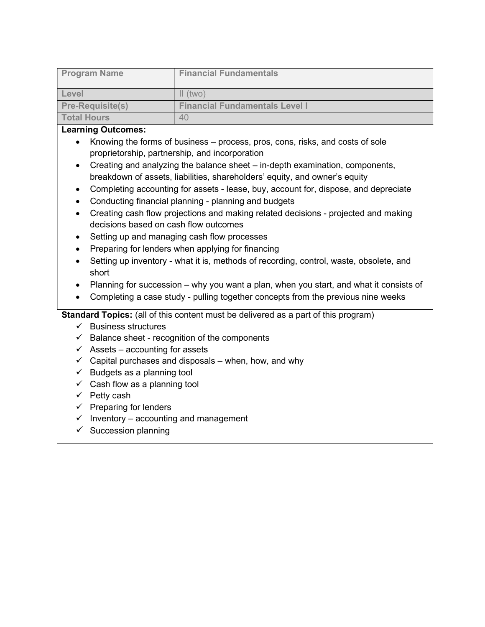| <b>Program Name</b>     | <b>Financial Fundamentals</b>         |
|-------------------------|---------------------------------------|
| Level                   | $\parallel$ (two)                     |
| <b>Pre-Requisite(s)</b> | <b>Financial Fundamentals Level I</b> |
| <b>Total Hours</b>      | 40                                    |

- Knowing the forms of business process, pros, cons, risks, and costs of sole proprietorship, partnership, and incorporation
- Creating and analyzing the balance sheet in-depth examination, components, breakdown of assets, liabilities, shareholders' equity, and owner's equity
- Completing accounting for assets lease, buy, account for, dispose, and depreciate
- Conducting financial planning planning and budgets
- Creating cash flow projections and making related decisions projected and making decisions based on cash flow outcomes
- Setting up and managing cash flow processes
- Preparing for lenders when applying for financing
- Setting up inventory what it is, methods of recording, control, waste, obsolete, and short
- Planning for succession why you want a plan, when you start, and what it consists of
- Completing a case study pulling together concepts from the previous nine weeks

- $\checkmark$  Business structures
- $\checkmark$  Balance sheet recognition of the components
- $\checkmark$  Assets accounting for assets
- $\checkmark$  Capital purchases and disposals when, how, and why
- $\checkmark$  Budgets as a planning tool
- $\checkmark$  Cash flow as a planning tool
- $\checkmark$  Petty cash
- $\checkmark$  Preparing for lenders
- $\checkmark$  Inventory accounting and management
- $\checkmark$  Succession planning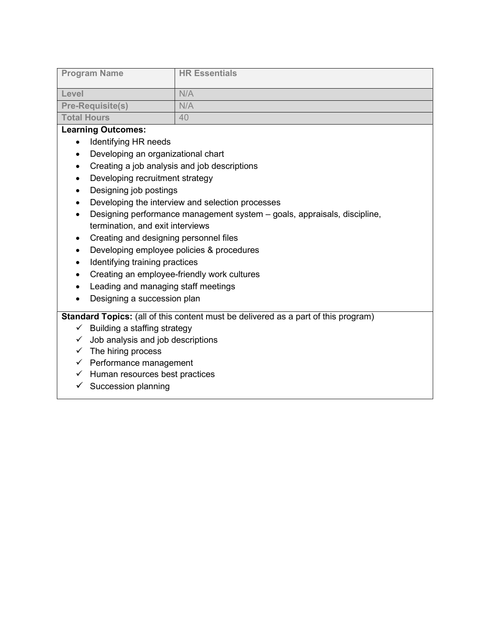| <b>Program Name</b>     | <b>HR Essentials</b> |
|-------------------------|----------------------|
| Level                   | N/A                  |
| <b>Pre-Requisite(s)</b> | N/A                  |
| <b>Total Hours</b>      | 40                   |

- Identifying HR needs
- Developing an organizational chart
- Creating a job analysis and job descriptions
- Developing recruitment strategy
- Designing job postings
- Developing the interview and selection processes
- Designing performance management system goals, appraisals, discipline, termination, and exit interviews
- Creating and designing personnel files
- Developing employee policies & procedures
- Identifying training practices
- Creating an employee-friendly work cultures
- Leading and managing staff meetings
- Designing a succession plan

- $\checkmark$  Building a staffing strategy
- $\checkmark$  Job analysis and job descriptions
- $\checkmark$  The hiring process
- $\checkmark$  Performance management
- $\checkmark$  Human resources best practices
- $\checkmark$  Succession planning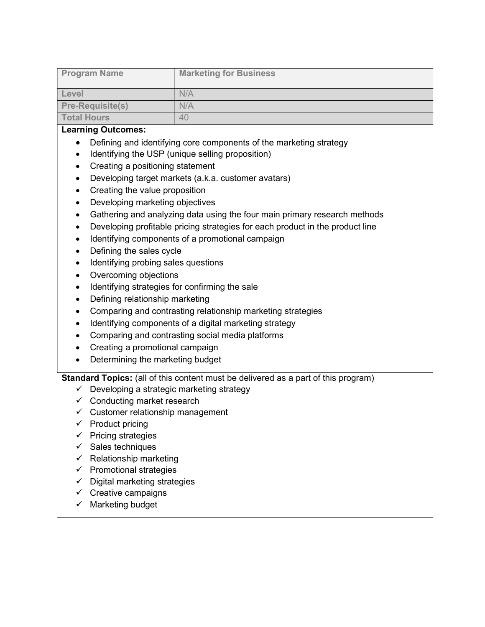| <b>Program Name</b>     | <b>Marketing for Business</b> |
|-------------------------|-------------------------------|
| Level                   | N/A                           |
| <b>Pre-Requisite(s)</b> | N/A                           |
| <b>Total Hours</b>      | 40                            |

- Defining and identifying core components of the marketing strategy
- Identifying the USP (unique selling proposition)
- Creating a positioning statement
- Developing target markets (a.k.a. customer avatars)
- Creating the value proposition
- Developing marketing objectives
- Gathering and analyzing data using the four main primary research methods
- Developing profitable pricing strategies for each product in the product line
- Identifying components of a promotional campaign
- Defining the sales cycle
- Identifying probing sales questions
- Overcoming objections
- Identifying strategies for confirming the sale
- Defining relationship marketing
- Comparing and contrasting relationship marketing strategies
- Identifying components of a digital marketing strategy
- Comparing and contrasting social media platforms
- Creating a promotional campaign
- Determining the marketing budget

- $\checkmark$  Developing a strategic marketing strategy
- $\checkmark$  Conducting market research
- $\checkmark$  Customer relationship management
- $\checkmark$  Product pricing
- $\checkmark$  Pricing strategies
- $\checkmark$  Sales techniques
- $\checkmark$  Relationship marketing
- $\checkmark$  Promotional strategies
- $\checkmark$  Digital marketing strategies
- $\checkmark$  Creative campaigns
- $\checkmark$  Marketing budget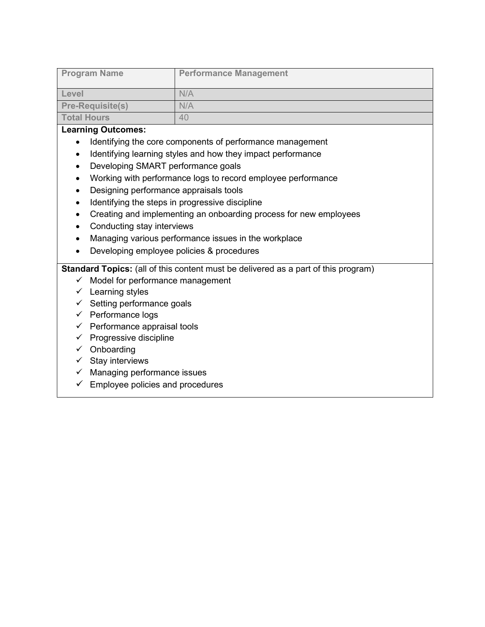| <b>Program Name</b>     | <b>Performance Management</b> |
|-------------------------|-------------------------------|
| Level                   | N/A                           |
| <b>Pre-Requisite(s)</b> | N/A                           |
| <b>Total Hours</b>      | 40                            |

- Identifying the core components of performance management
- Identifying learning styles and how they impact performance
- Developing SMART performance goals
- Working with performance logs to record employee performance
- Designing performance appraisals tools
- Identifying the steps in progressive discipline
- Creating and implementing an onboarding process for new employees
- Conducting stay interviews
- Managing various performance issues in the workplace
- Developing employee policies & procedures

- $\checkmark$  Model for performance management
- $\checkmark$  Learning styles
- $\checkmark$  Setting performance goals
- $\checkmark$  Performance logs
- $\checkmark$  Performance appraisal tools
- $\checkmark$  Progressive discipline
- $\checkmark$  Onboarding
- $\checkmark$  Stay interviews
- $\checkmark$  Managing performance issues
- $\checkmark$  Employee policies and procedures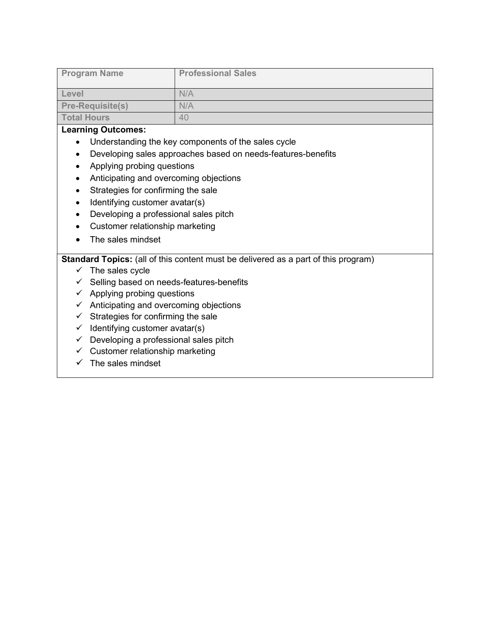| <b>Program Name</b>     | <b>Professional Sales</b> |
|-------------------------|---------------------------|
| Level                   | N/A                       |
| <b>Pre-Requisite(s)</b> | N/A                       |
| <b>Total Hours</b>      | 40                        |

- Understanding the key components of the sales cycle
- Developing sales approaches based on needs-features-benefits
- Applying probing questions
- Anticipating and overcoming objections
- Strategies for confirming the sale
- Identifying customer avatar(s)
- Developing a professional sales pitch
- Customer relationship marketing
- The sales mindset

- $\checkmark$  The sales cycle
- $\checkmark$  Selling based on needs-features-benefits
- $\checkmark$  Applying probing questions
- $\checkmark$  Anticipating and overcoming objections
- $\checkmark$  Strategies for confirming the sale
- $\checkmark$  Identifying customer avatar(s)
- $\checkmark$  Developing a professional sales pitch
- $\checkmark$  Customer relationship marketing
- $\checkmark$  The sales mindset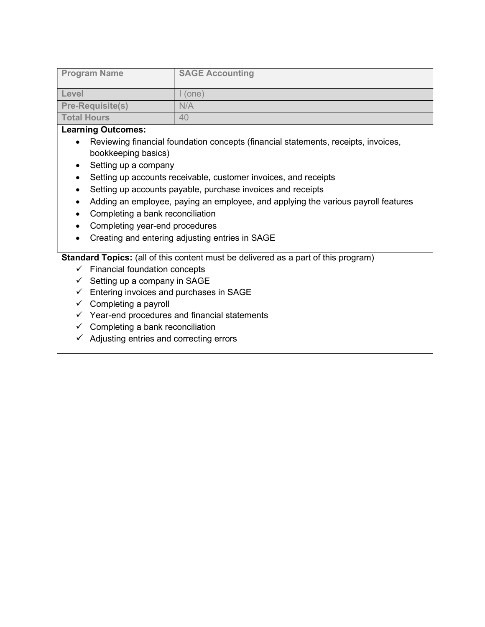| <b>Program Name</b>     | <b>SAGE Accounting</b> |
|-------------------------|------------------------|
| Level                   | (one)                  |
| <b>Pre-Requisite(s)</b> | N/A                    |
| <b>Total Hours</b>      | 40                     |

- Reviewing financial foundation concepts (financial statements, receipts, invoices, bookkeeping basics)
- Setting up a company
- Setting up accounts receivable, customer invoices, and receipts
- Setting up accounts payable, purchase invoices and receipts
- Adding an employee, paying an employee, and applying the various payroll features
- Completing a bank reconciliation
- Completing year-end procedures
- Creating and entering adjusting entries in SAGE

- $\checkmark$  Financial foundation concepts
- $\checkmark$  Setting up a company in SAGE
- $\checkmark$  Entering invoices and purchases in SAGE
- $\checkmark$  Completing a payroll
- $\checkmark$  Year-end procedures and financial statements
- $\checkmark$  Completing a bank reconciliation
- $\checkmark$  Adjusting entries and correcting errors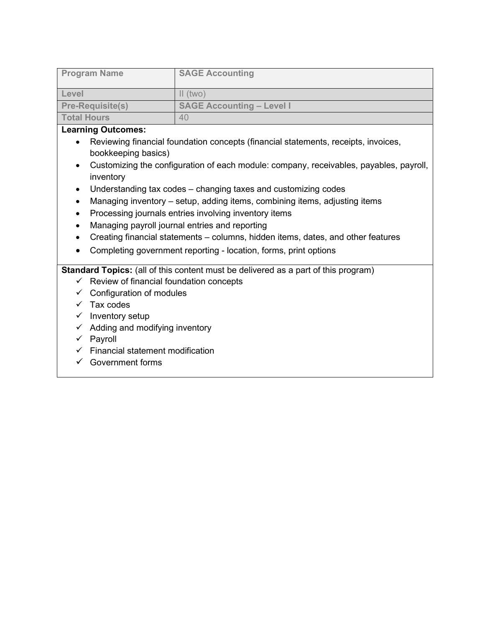| <b>Program Name</b>     | <b>SAGE Accounting</b>           |
|-------------------------|----------------------------------|
|                         |                                  |
| Level                   | $\parallel$ (two)                |
| <b>Pre-Requisite(s)</b> | <b>SAGE Accounting - Level I</b> |
| <b>Total Hours</b>      | 40                               |

- Reviewing financial foundation concepts (financial statements, receipts, invoices, bookkeeping basics)
- Customizing the configuration of each module: company, receivables, payables, payroll, inventory
- Understanding tax codes changing taxes and customizing codes
- Managing inventory setup, adding items, combining items, adjusting items
- Processing journals entries involving inventory items
- Managing payroll journal entries and reporting
- Creating financial statements columns, hidden items, dates, and other features
- Completing government reporting location, forms, print options

- $\checkmark$  Review of financial foundation concepts
- $\checkmark$  Configuration of modules
- $\checkmark$  Tax codes
- $\checkmark$  Inventory setup
- $\checkmark$  Adding and modifying inventory
- $\checkmark$  Payroll
- $\checkmark$  Financial statement modification
- $\checkmark$  Government forms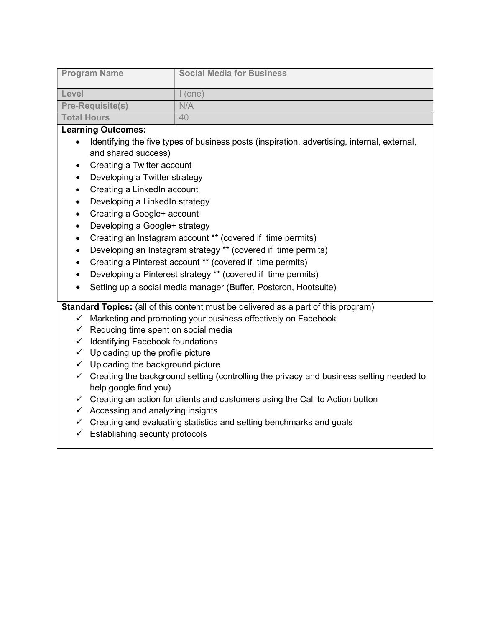| <b>Program Name</b>     | <b>Social Media for Business</b> |
|-------------------------|----------------------------------|
| Level                   | (one)                            |
| <b>Pre-Requisite(s)</b> | N/A                              |
| <b>Total Hours</b>      | 40                               |

- Identifying the five types of business posts (inspiration, advertising, internal, external, and shared success)
- Creating a Twitter account
- Developing a Twitter strategy
- Creating a LinkedIn account
- Developing a LinkedIn strategy
- Creating a Google+ account
- Developing a Google+ strategy
- Creating an Instagram account \*\* (covered if time permits)
- Developing an Instagram strategy \*\* (covered if time permits)
- Creating a Pinterest account \*\* (covered if time permits)
- Developing a Pinterest strategy \*\* (covered if time permits)
- Setting up a social media manager (Buffer, Postcron, Hootsuite)

- $\checkmark$  Marketing and promoting your business effectively on Facebook
- $\checkmark$  Reducing time spent on social media
- $\checkmark$  Identifying Facebook foundations
- $\checkmark$  Uploading up the profile picture
- $\checkmark$  Uploading the background picture
- $\checkmark$  Creating the background setting (controlling the privacy and business setting needed to help google find you)
- $\checkmark$  Creating an action for clients and customers using the Call to Action button
- $\checkmark$  Accessing and analyzing insights
- $\checkmark$  Creating and evaluating statistics and setting benchmarks and goals
- $\checkmark$  Establishing security protocols